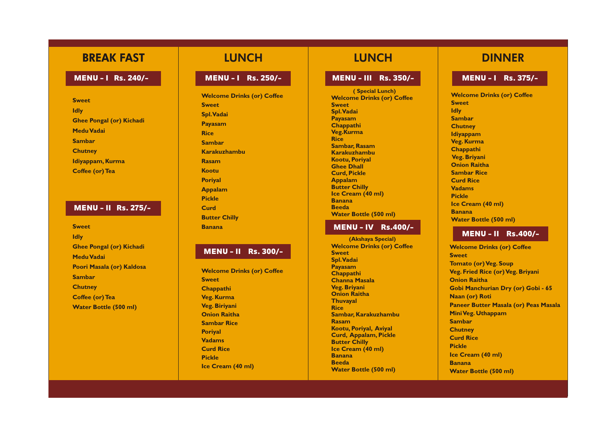# **BREAK FAST**

## **MENU – I** Rs. 240/–

**Swee t Id ly Ghee Pongal (or) Kichadi Medu Vadai Poori Masala (or) Kaldosa Sa mba r Chutn e y Coffee (or) Tea WENU - I** RS. 241<br>
Sweet<br>
Idly<br>
Ghee Pongal (or) Kicha<br>
Medu Vadai<br>
Sambar<br>
Chutney<br>
Idiyappam, Kurma<br>
Coffee (or) Tea<br>
MENU - II RS. 27<br>
Sweet<br>
Idly<br>
Ghee Pongal (or) Kicha<br>
Medu Vadai<br>
Poori Masala (or) Kaldo<br>
Sambar<br>
C

## **LUNCH**

**Swee t Id l y Ghee Pongal (or) Kichadi Medu Vadai Sa mba r Chutn e y Idiy appam , Kur m a Coffee (or) Tea**

#### **MENU - II** Rs. 275/-

**Welco me Drinks (or) Coffee Swee t Spl. Vadai P ayasam Rice Sa mba r Karakuzhambu Rasa m Kootu Poriyal Appalam Pickle Curd Butter Chill y Banana**

**Welco me Drinks (or) Coffee Swee t Chappathi Veg. Kurm a Veg . Biri yan i Onion Raith a Sa mbar Ric e Poriyal Vadam s Curd Rice Pickle Ice Cream (40 ml)** 

## **LUNCH**

**Welco me Drinks (or) Coffee**

**Swee t Id l y Sa mba r Chutn e y Chappathi Curd Rice Vadams Pickle Ice Cream (40 ml) Banana**

- 
- 
- **Idiy appam**
- **Veg . Kur m a**
	-
- **Veg. Briyan i**
- **Onion Raith a**
- **Sa mbar Ric e**
	-
	-
	-
	-
- **Water Bottle (500 ml)**

**Welcome Drinks (or) Coffee Swee t Tomato (or) Veg . Sou p Veg . Fried Rice (or) Veg . Briyan i Onion Raith a Gobi Manchurian D ry (or) Gobi - 6 5 Naan (or) Rot i Paneer Butter Masala (or) Peas Masal a Mini Veg . Uth appam Sa mba r Chutn e y Curd Rice Pickle Ice C rea m (40 ml) Banana Water Bottle (500 ml)**

# **DINNER**

**Welco me Drinks (or) Coffee Swee t Spl. Vadai P ayasam Chappathi Veg.Kurma Rice Sa mba r, Rasam Karakuzhambu Kootu, Poriyal Ghee Dhall Curd, Pickle Appalam Butter Chill y Ice C rea m (40 ml) Banana Beed a Water Bottle (500 ml) ( Special Lunch)**

### **MENU - IV Rs.400/-**

**Welco me Drinks (or) Coffee Swee t Spl. Vadai P ayasam Chappathi Channa Masal a Veg . Briyan i Onion Raith a Thuv ayal Rice Sa mba r, Karakuzha mbu Rasa m Kootu , Poriyal , Avi yal Curd, Appalam , Pickl e Butter Chill y Ice C rea m (40 ml) Banana Beed a Water Bottle (500 ml) (Akshaya Special)**

#### **M E N U - I R s . 2 5 0 / -**

#### **M E N U - I I I R s . 3 5 0 / -**

## **M E N U - I R s . 3 7 5 / -**

#### **M E N U - I I R s . 3 0 0 / -**

## **M E N U - I I R s . 4 0 0 / -**